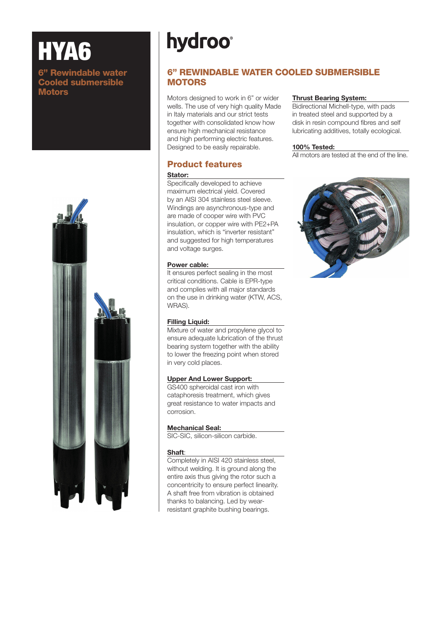# HYA6

#### 6" Rewindable water Cooled submersible **Motors**



# **hydroo**<sup>®</sup>

## 6" REWINDABLE WATER COOLED SUBMERSIBLE **MOTORS**

Motors designed to work in 6" or wider wells. The use of very high quality Made in Italy materials and our strict tests together with consolidated know how ensure high mechanical resistance and high performing electric features. Designed to be easily repairable.

# Product features

#### Stator:

Specifically developed to achieve maximum electrical yield. Covered by an AISI 304 stainless steel sleeve. Windings are asynchronous-type and are made of cooper wire with PVC insulation, or copper wire with PE2+PA insulation, which is "inverter resistant" and suggested for high temperatures and voltage surges.

#### Power cable:

It ensures perfect sealing in the most critical conditions. Cable is EPR-type and complies with all major standards on the use in drinking water (KTW, ACS, WRAS).

#### Filling Liquid:

Mixture of water and propylene glycol to ensure adequate lubrication of the thrust bearing system together with the ability to lower the freezing point when stored in very cold places.

#### Upper And Lower Support:

GS400 spheroidal cast iron with cataphoresis treatment, which gives great resistance to water impacts and corrosion.

#### Mechanical Seal:

SIC-SIC, silicon-silicon carbide.

#### Shaft:

Completely in AISI 420 stainless steel, without welding. It is ground along the entire axis thus giving the rotor such a concentricity to ensure perfect linearity. A shaft free from vibration is obtained thanks to balancing. Led by wearresistant graphite bushing bearings.

#### Thrust Bearing System:

Bidirectional Michell-type, with pads in treated steel and supported by a disk in resin compound fibres and self lubricating additives, totally ecological.

#### 100% Tested:

All motors are tested at the end of the line.